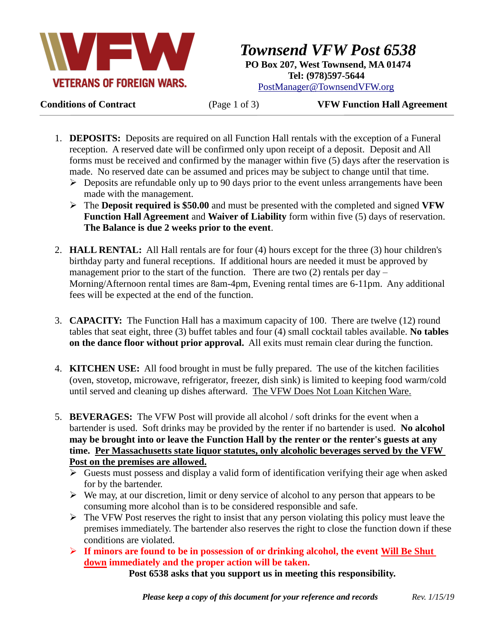

*Townsend VFW Post 6538* **PO Box 207, West Townsend, MA 01474 Tel: (978)597-5644** [PostManager@TownsendVFW.org](mailto:PostManager@TownsendVFW.org)

**Conditions of Contract** (Page 1 of 3) **VFW Function Hall Agreement**

- 1. **DEPOSITS:** Deposits are required on all Function Hall rentals with the exception of a Funeral reception. A reserved date will be confirmed only upon receipt of a deposit. Deposit and All forms must be received and confirmed by the manager within five (5) days after the reservation is made. No reserved date can be assumed and prices may be subject to change until that time.
	- $\triangleright$  Deposits are refundable only up to 90 days prior to the event unless arrangements have been made with the management.
	- The **Deposit required is \$50.00** and must be presented with the completed and signed **VFW Function Hall Agreement** and **Waiver of Liability** form within five (5) days of reservation. **The Balance is due 2 weeks prior to the event**.
- 2. **HALL RENTAL:** All Hall rentals are for four (4) hours except for the three (3) hour children's birthday party and funeral receptions. If additional hours are needed it must be approved by management prior to the start of the function. There are two  $(2)$  rentals per day – Morning/Afternoon rental times are 8am-4pm, Evening rental times are 6-11pm. Any additional fees will be expected at the end of the function.
- 3. **CAPACITY:** The Function Hall has a maximum capacity of 100. There are twelve (12) round tables that seat eight, three (3) buffet tables and four (4) small cocktail tables available. **No tables on the dance floor without prior approval.** All exits must remain clear during the function.
- 4. **KITCHEN USE:** All food brought in must be fully prepared. The use of the kitchen facilities (oven, stovetop, microwave, refrigerator, freezer, dish sink) is limited to keeping food warm/cold until served and cleaning up dishes afterward. The VFW Does Not Loan Kitchen Ware.
- 5. **BEVERAGES:** The VFW Post will provide all alcohol / soft drinks for the event when a bartender is used. Soft drinks may be provided by the renter if no bartender is used. **No alcohol may be brought into or leave the Function Hall by the renter or the renter's guests at any time. Per Massachusetts state liquor statutes, only alcoholic beverages served by the VFW Post on the premises are allowed.**
	- $\triangleright$  Guests must possess and display a valid form of identification verifying their age when asked for by the bartender.
	- $\triangleright$  We may, at our discretion, limit or deny service of alcohol to any person that appears to be consuming more alcohol than is to be considered responsible and safe.
	- $\triangleright$  The VFW Post reserves the right to insist that any person violating this policy must leave the premises immediately. The bartender also reserves the right to close the function down if these conditions are violated.
	- **If minors are found to be in possession of or drinking alcohol, the event Will Be Shut down immediately and the proper action will be taken.**

**Post 6538 asks that you support us in meeting this responsibility.**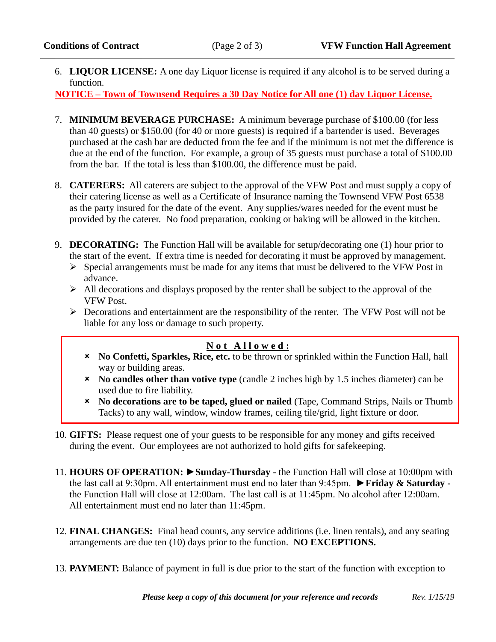L

6. **LIQUOR LICENSE:** A one day Liquor license is required if any alcohol is to be served during a function.

**NOTICE – Town of Townsend Requires a 30 Day Notice for All one (1) day Liquor License.**

- 7. **MINIMUM BEVERAGE PURCHASE:** A minimum beverage purchase of \$100.00 (for less than 40 guests) or \$150.00 (for 40 or more guests) is required if a bartender is used. Beverages purchased at the cash bar are deducted from the fee and if the minimum is not met the difference is due at the end of the function. For example, a group of 35 guests must purchase a total of \$100.00 from the bar. If the total is less than \$100.00, the difference must be paid.
- 8. **CATERERS:** All caterers are subject to the approval of the VFW Post and must supply a copy of their catering license as well as a Certificate of Insurance naming the Townsend VFW Post 6538 as the party insured for the date of the event. Any supplies/wares needed for the event must be provided by the caterer. No food preparation, cooking or baking will be allowed in the kitchen.
- 9. **DECORATING:** The Function Hall will be available for setup/decorating one (1) hour prior to the start of the event. If extra time is needed for decorating it must be approved by management.
	- $\triangleright$  Special arrangements must be made for any items that must be delivered to the VFW Post in advance.
	- $\triangleright$  All decorations and displays proposed by the renter shall be subject to the approval of the VFW Post.
	- $\triangleright$  Decorations and entertainment are the responsibility of the renter. The VFW Post will not be liable for any loss or damage to such property.

## **N o t A l l o w e d :**

- **No Confetti, Sparkles, Rice, etc.** to be thrown or sprinkled within the Function Hall, hall way or building areas.
- **No candles other than votive type** (candle 2 inches high by 1.5 inches diameter) can be used due to fire liability.
- **No decorations are to be taped, glued or nailed** (Tape, Command Strips, Nails or Thumb Tacks) to any wall, window, window frames, ceiling tile/grid, light fixture or door.
- 10. **GIFTS:** Please request one of your guests to be responsible for any money and gifts received during the event. Our employees are not authorized to hold gifts for safekeeping.
- 11. **HOURS OF OPERATION: ►Sunday-Thursday** the Function Hall will close at 10:00pm with the last call at 9:30pm. All entertainment must end no later than 9:45pm. ►**Friday & Saturday**  the Function Hall will close at 12:00am. The last call is at 11:45pm. No alcohol after 12:00am. All entertainment must end no later than 11:45pm.
- 12. **FINAL CHANGES:** Final head counts, any service additions (i.e. linen rentals), and any seating arrangements are due ten (10) days prior to the function. **NO EXCEPTIONS.**
- 13. **PAYMENT:** Balance of payment in full is due prior to the start of the function with exception to